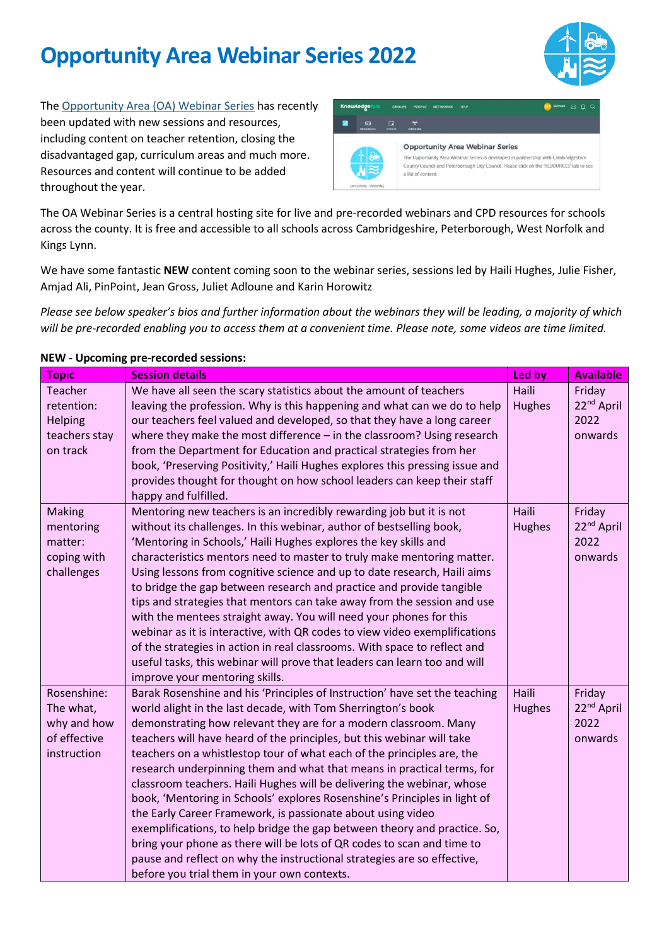

The [Opportunity Area \(OA\) Webinar Series](https://khub.net/web/guest/welcome?p_p_state=normal&p_p_mode=view&refererPlid=383846076&saveLastPath=false&_com_liferay_login_web_portlet_LoginPortlet_mvcRenderCommandName=%2Flogin%2Flogin&p_p_id=com_liferay_login_web_portlet_LoginPortlet&p_p_lifecycle=0&_com_liferay_login_web_portlet_LoginPortlet_redirect=%2Fgroup%2Fopportunity-area-webinar-series) has recently been updated with new sessions and resources, including content on teacher retention, closing the disadvantaged gap, curriculum areas and much more. Resources and content will continue to be added throughout the year.



The OA Webinar Series is a central hosting site for live and pre-recorded webinars and CPD resources for schools across the county. It is free and accessible to all schools across Cambridgeshire, Peterborough, West Norfolk and Kings Lynn.

We have some fantastic **NEW** content coming soon to the webinar series, sessions led by Haili Hughes, Julie Fisher, Amjad Ali, PinPoint, Jean Gross, Juliet Adloune and Karin Horowitz

*Please see below speaker's bios and further information about the webinars they will be leading, a majority of which will be pre-recorded enabling you to access them at a convenient time. Please note, some videos are time limited.*

| <b>Topic</b>             | <b>Session details</b>                                                                                                           | Led by        | <b>Available</b>                 |
|--------------------------|----------------------------------------------------------------------------------------------------------------------------------|---------------|----------------------------------|
| <b>Teacher</b>           | We have all seen the scary statistics about the amount of teachers                                                               | Haili         | Friday                           |
| retention:               | leaving the profession. Why is this happening and what can we do to help                                                         | <b>Hughes</b> | 22 <sup>nd</sup> April           |
| Helping                  | our teachers feel valued and developed, so that they have a long career                                                          |               | 2022                             |
| teachers stay            | where they make the most difference - in the classroom? Using research                                                           |               | onwards                          |
| on track                 | from the Department for Education and practical strategies from her                                                              |               |                                  |
|                          | book, 'Preserving Positivity,' Haili Hughes explores this pressing issue and                                                     |               |                                  |
|                          | provides thought for thought on how school leaders can keep their staff                                                          |               |                                  |
|                          | happy and fulfilled.                                                                                                             |               |                                  |
| <b>Making</b>            | Mentoring new teachers is an incredibly rewarding job but it is not                                                              | Haili         | Friday                           |
| mentoring                | without its challenges. In this webinar, author of bestselling book,                                                             | <b>Hughes</b> | 22 <sup>nd</sup> April           |
| matter:                  | 'Mentoring in Schools,' Haili Hughes explores the key skills and                                                                 |               | 2022                             |
| coping with              | characteristics mentors need to master to truly make mentoring matter.                                                           |               | onwards                          |
| challenges               | Using lessons from cognitive science and up to date research, Haili aims                                                         |               |                                  |
|                          | to bridge the gap between research and practice and provide tangible                                                             |               |                                  |
|                          | tips and strategies that mentors can take away from the session and use                                                          |               |                                  |
|                          | with the mentees straight away. You will need your phones for this                                                               |               |                                  |
|                          | webinar as it is interactive, with QR codes to view video exemplifications                                                       |               |                                  |
|                          | of the strategies in action in real classrooms. With space to reflect and                                                        |               |                                  |
|                          | useful tasks, this webinar will prove that leaders can learn too and will                                                        |               |                                  |
| Rosenshine:              | improve your mentoring skills.                                                                                                   | <b>Haili</b>  |                                  |
|                          | Barak Rosenshine and his 'Principles of Instruction' have set the teaching                                                       |               | Friday<br>22 <sup>nd</sup> April |
| The what,<br>why and how | world alight in the last decade, with Tom Sherrington's book<br>demonstrating how relevant they are for a modern classroom. Many | <b>Hughes</b> | 2022                             |
| of effective             | teachers will have heard of the principles, but this webinar will take                                                           |               | onwards                          |
| instruction              | teachers on a whistlestop tour of what each of the principles are, the                                                           |               |                                  |
|                          | research underpinning them and what that means in practical terms, for                                                           |               |                                  |
|                          | classroom teachers. Haili Hughes will be delivering the webinar, whose                                                           |               |                                  |
|                          | book, 'Mentoring in Schools' explores Rosenshine's Principles in light of                                                        |               |                                  |
|                          | the Early Career Framework, is passionate about using video                                                                      |               |                                  |
|                          | exemplifications, to help bridge the gap between theory and practice. So,                                                        |               |                                  |
|                          | bring your phone as there will be lots of QR codes to scan and time to                                                           |               |                                  |
|                          | pause and reflect on why the instructional strategies are so effective,                                                          |               |                                  |
|                          | before you trial them in your own contexts.                                                                                      |               |                                  |

#### **NEW - Upcoming pre-recorded sessions:**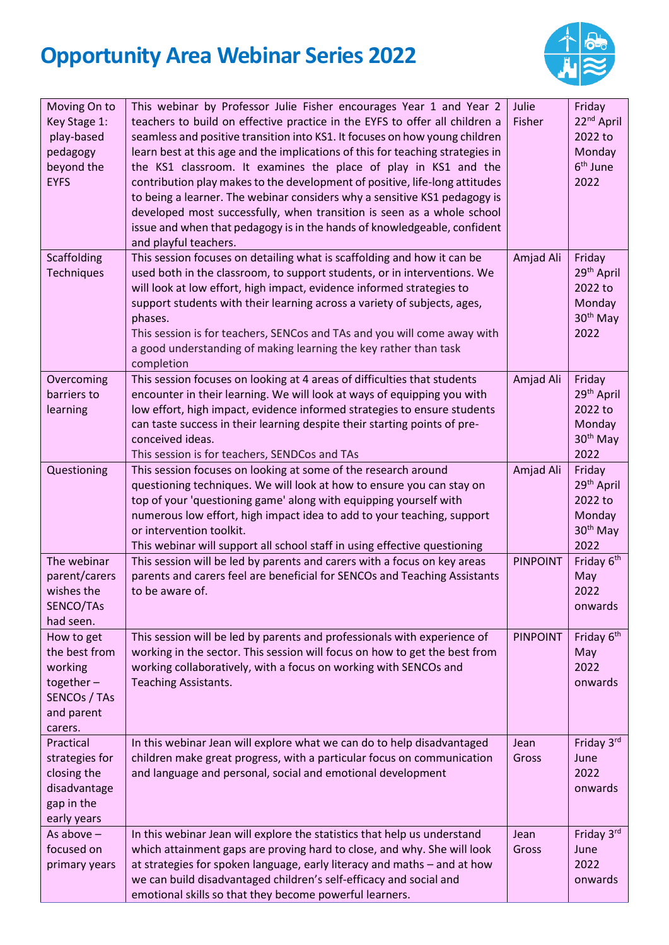

| Moving On to<br>Key Stage 1:<br>play-based<br>pedagogy<br>beyond the<br><b>EYFS</b>             | This webinar by Professor Julie Fisher encourages Year 1 and Year 2<br>teachers to build on effective practice in the EYFS to offer all children a<br>seamless and positive transition into KS1. It focuses on how young children<br>learn best at this age and the implications of this for teaching strategies in<br>the KS1 classroom. It examines the place of play in KS1 and the<br>contribution play makes to the development of positive, life-long attitudes<br>to being a learner. The webinar considers why a sensitive KS1 pedagogy is<br>developed most successfully, when transition is seen as a whole school<br>issue and when that pedagogy is in the hands of knowledgeable, confident<br>and playful teachers. | Julie<br>Fisher | Friday<br>22 <sup>nd</sup> April<br>2022 to<br>Monday<br>6 <sup>th</sup> June<br>2022 |
|-------------------------------------------------------------------------------------------------|-----------------------------------------------------------------------------------------------------------------------------------------------------------------------------------------------------------------------------------------------------------------------------------------------------------------------------------------------------------------------------------------------------------------------------------------------------------------------------------------------------------------------------------------------------------------------------------------------------------------------------------------------------------------------------------------------------------------------------------|-----------------|---------------------------------------------------------------------------------------|
| Scaffolding<br><b>Techniques</b>                                                                | This session focuses on detailing what is scaffolding and how it can be<br>used both in the classroom, to support students, or in interventions. We<br>will look at low effort, high impact, evidence informed strategies to<br>support students with their learning across a variety of subjects, ages,<br>phases.<br>This session is for teachers, SENCos and TAs and you will come away with<br>a good understanding of making learning the key rather than task<br>completion                                                                                                                                                                                                                                                 | Amjad Ali       | Friday<br>29 <sup>th</sup> April<br>2022 to<br>Monday<br>30 <sup>th</sup> May<br>2022 |
| Overcoming<br>barriers to<br>learning                                                           | This session focuses on looking at 4 areas of difficulties that students<br>encounter in their learning. We will look at ways of equipping you with<br>low effort, high impact, evidence informed strategies to ensure students<br>can taste success in their learning despite their starting points of pre-<br>conceived ideas.<br>This session is for teachers, SENDCos and TAs                                                                                                                                                                                                                                                                                                                                                 | Amjad Ali       | Friday<br>29 <sup>th</sup> April<br>2022 to<br>Monday<br>30 <sup>th</sup> May<br>2022 |
| Questioning                                                                                     | This session focuses on looking at some of the research around<br>questioning techniques. We will look at how to ensure you can stay on<br>top of your 'questioning game' along with equipping yourself with<br>numerous low effort, high impact idea to add to your teaching, support<br>or intervention toolkit.<br>This webinar will support all school staff in using effective questioning                                                                                                                                                                                                                                                                                                                                   | Amjad Ali       | Friday<br>29 <sup>th</sup> April<br>2022 to<br>Monday<br>30 <sup>th</sup> May<br>2022 |
| The webinar<br>parent/carers<br>wishes the<br>SENCO/TAs<br>had seen.                            | This session will be led by parents and carers with a focus on key areas<br>parents and carers feel are beneficial for SENCOs and Teaching Assistants<br>to be aware of.                                                                                                                                                                                                                                                                                                                                                                                                                                                                                                                                                          | <b>PINPOINT</b> | Friday 6 <sup>th</sup><br>May<br>2022<br>onwards                                      |
| How to get<br>the best from<br>working<br>together $-$<br>SENCOs / TAs<br>and parent<br>carers. | This session will be led by parents and professionals with experience of<br>working in the sector. This session will focus on how to get the best from<br>working collaboratively, with a focus on working with SENCOs and<br><b>Teaching Assistants.</b>                                                                                                                                                                                                                                                                                                                                                                                                                                                                         | <b>PINPOINT</b> | Friday 6 <sup>th</sup><br>May<br>2022<br>onwards                                      |
| Practical<br>strategies for<br>closing the<br>disadvantage<br>gap in the<br>early years         | In this webinar Jean will explore what we can do to help disadvantaged<br>children make great progress, with a particular focus on communication<br>and language and personal, social and emotional development                                                                                                                                                                                                                                                                                                                                                                                                                                                                                                                   | Jean<br>Gross   | Friday 3rd<br>June<br>2022<br>onwards                                                 |
| As above $-$<br>focused on<br>primary years                                                     | In this webinar Jean will explore the statistics that help us understand<br>which attainment gaps are proving hard to close, and why. She will look<br>at strategies for spoken language, early literacy and maths - and at how<br>we can build disadvantaged children's self-efficacy and social and<br>emotional skills so that they become powerful learners.                                                                                                                                                                                                                                                                                                                                                                  | Jean<br>Gross   | Friday 3rd<br>June<br>2022<br>onwards                                                 |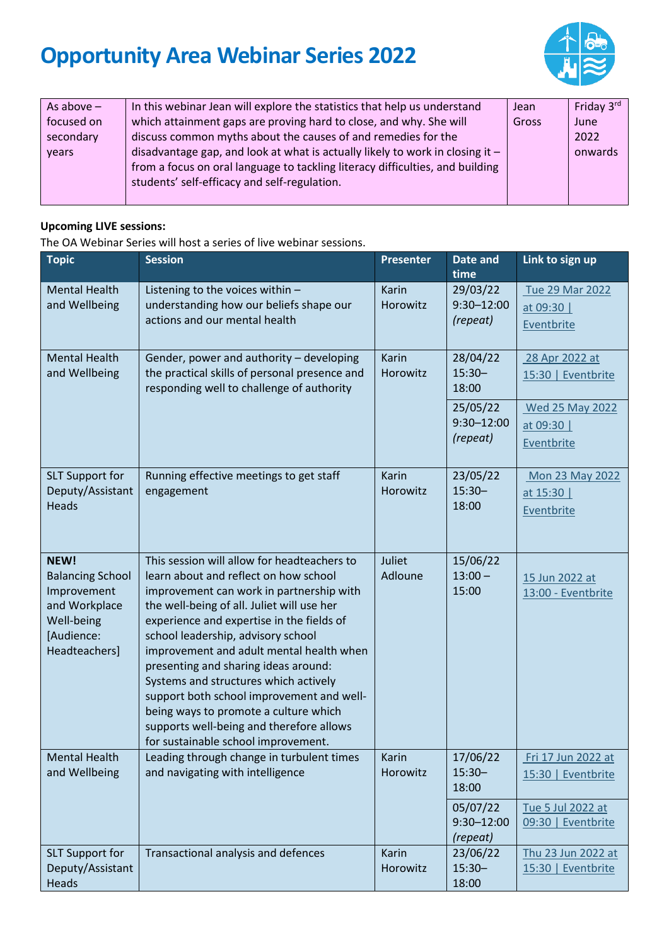

| As above $-$ | In this webinar Jean will explore the statistics that help us understand        | <b>Jean</b> | Friday 3rd |
|--------------|---------------------------------------------------------------------------------|-------------|------------|
| focused on   | which attainment gaps are proving hard to close, and why. She will              | Gross       | June       |
| secondary    | discuss common myths about the causes of and remedies for the                   |             | 2022       |
| vears        | disadvantage gap, and look at what is actually likely to work in closing it $-$ |             | onwards    |
|              | from a focus on oral language to tackling literacy difficulties, and building   |             |            |
|              | students' self-efficacy and self-regulation.                                    |             |            |
|              |                                                                                 |             |            |

### **Upcoming LIVE sessions:**

The OA Webinar Series will host a series of live webinar sessions.

| <b>Topic</b>                                                                                                 | <b>Session</b>                                                                                                                                                                                                                                                                                                                                                                                                                                                                                                                                                          | <b>Presenter</b>  | Date and<br>time                       | Link to sign up                                    |
|--------------------------------------------------------------------------------------------------------------|-------------------------------------------------------------------------------------------------------------------------------------------------------------------------------------------------------------------------------------------------------------------------------------------------------------------------------------------------------------------------------------------------------------------------------------------------------------------------------------------------------------------------------------------------------------------------|-------------------|----------------------------------------|----------------------------------------------------|
| <b>Mental Health</b><br>and Wellbeing                                                                        | Listening to the voices within -<br>understanding how our beliefs shape our<br>actions and our mental health                                                                                                                                                                                                                                                                                                                                                                                                                                                            | Karin<br>Horowitz | 29/03/22<br>$9:30 - 12:00$<br>(repeat) | Tue 29 Mar 2022<br>at 09:30  <br>Eventbrite        |
| <b>Mental Health</b><br>and Wellbeing                                                                        | Gender, power and authority - developing<br>the practical skills of personal presence and<br>responding well to challenge of authority                                                                                                                                                                                                                                                                                                                                                                                                                                  | Karin<br>Horowitz | 28/04/22<br>$15:30 -$<br>18:00         | 28 Apr 2022 at<br>15:30   Eventbrite               |
|                                                                                                              |                                                                                                                                                                                                                                                                                                                                                                                                                                                                                                                                                                         |                   | 25/05/22<br>$9:30 - 12:00$<br>(repeat) | <b>Wed 25 May 2022</b><br>at 09:30  <br>Eventbrite |
| <b>SLT Support for</b><br>Deputy/Assistant<br><b>Heads</b>                                                   | Running effective meetings to get staff<br>engagement                                                                                                                                                                                                                                                                                                                                                                                                                                                                                                                   | Karin<br>Horowitz | 23/05/22<br>$15:30 -$<br>18:00         | Mon 23 May 2022<br>at 15:30<br>Eventbrite          |
| NEW!<br><b>Balancing School</b><br>Improvement<br>and Workplace<br>Well-being<br>[Audience:<br>Headteachers] | This session will allow for headteachers to<br>learn about and reflect on how school<br>improvement can work in partnership with<br>the well-being of all. Juliet will use her<br>experience and expertise in the fields of<br>school leadership, advisory school<br>improvement and adult mental health when<br>presenting and sharing ideas around:<br>Systems and structures which actively<br>support both school improvement and well-<br>being ways to promote a culture which<br>supports well-being and therefore allows<br>for sustainable school improvement. | Juliet<br>Adloune | 15/06/22<br>$13:00 -$<br>15:00         | 15 Jun 2022 at<br>13:00 - Eventbrite               |
| <b>Mental Health</b><br>and Wellbeing                                                                        | Leading through change in turbulent times<br>and navigating with intelligence                                                                                                                                                                                                                                                                                                                                                                                                                                                                                           | Karin<br>Horowitz | 17/06/22<br>$15:30 -$<br>18:00         | Fri 17 Jun 2022 at<br>15:30   Eventbrite           |
|                                                                                                              |                                                                                                                                                                                                                                                                                                                                                                                                                                                                                                                                                                         |                   | 05/07/22<br>$9:30 - 12:00$<br>(repeat) | Tue 5 Jul 2022 at<br>09:30   Eventbrite            |
| <b>SLT Support for</b><br>Deputy/Assistant<br>Heads                                                          | Transactional analysis and defences                                                                                                                                                                                                                                                                                                                                                                                                                                                                                                                                     | Karin<br>Horowitz | 23/06/22<br>$15:30 -$<br>18:00         | Thu 23 Jun 2022 at<br>15:30   Eventbrite           |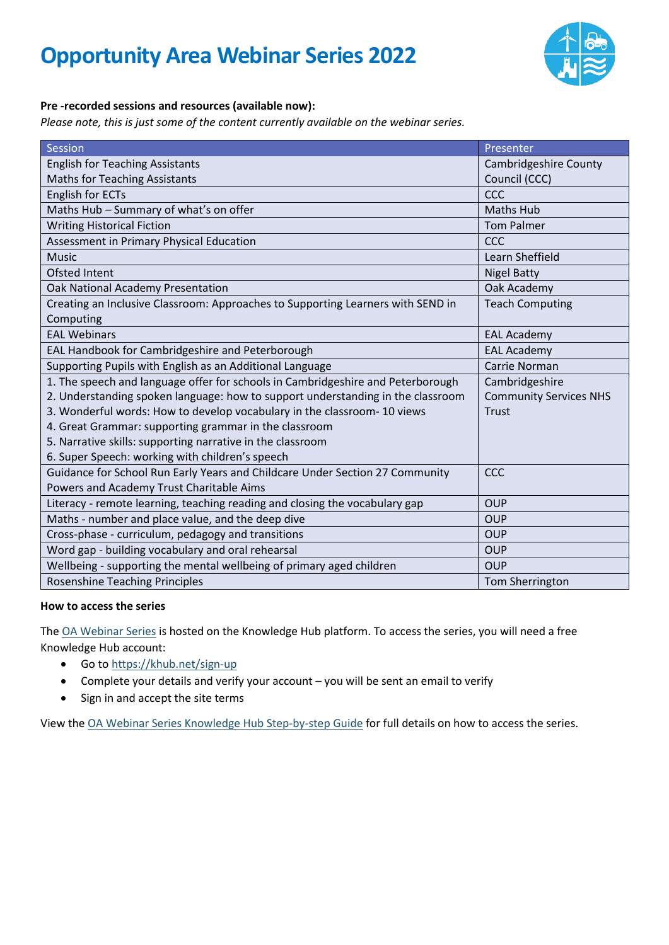

### **Pre -recorded sessions and resources (available now):**

*Please note, this is just some of the content currently available on the webinar series.*

| Session                                                                         | Presenter                     |  |
|---------------------------------------------------------------------------------|-------------------------------|--|
| <b>English for Teaching Assistants</b>                                          | <b>Cambridgeshire County</b>  |  |
| <b>Maths for Teaching Assistants</b>                                            | Council (CCC)                 |  |
| <b>English for ECTs</b>                                                         | <b>CCC</b>                    |  |
| Maths Hub - Summary of what's on offer                                          | <b>Maths Hub</b>              |  |
| <b>Writing Historical Fiction</b>                                               | <b>Tom Palmer</b>             |  |
| Assessment in Primary Physical Education                                        | CCC                           |  |
| <b>Music</b>                                                                    | Learn Sheffield               |  |
| <b>Ofsted Intent</b>                                                            | <b>Nigel Batty</b>            |  |
| Oak National Academy Presentation                                               | Oak Academy                   |  |
| Creating an Inclusive Classroom: Approaches to Supporting Learners with SEND in | <b>Teach Computing</b>        |  |
| Computing                                                                       |                               |  |
| <b>EAL Webinars</b>                                                             | <b>EAL Academy</b>            |  |
| EAL Handbook for Cambridgeshire and Peterborough                                | <b>EAL Academy</b>            |  |
| Supporting Pupils with English as an Additional Language                        | Carrie Norman                 |  |
| 1. The speech and language offer for schools in Cambridgeshire and Peterborough | Cambridgeshire                |  |
| 2. Understanding spoken language: how to support understanding in the classroom | <b>Community Services NHS</b> |  |
| 3. Wonderful words: How to develop vocabulary in the classroom- 10 views        | <b>Trust</b>                  |  |
| 4. Great Grammar: supporting grammar in the classroom                           |                               |  |
| 5. Narrative skills: supporting narrative in the classroom                      |                               |  |
| 6. Super Speech: working with children's speech                                 |                               |  |
| Guidance for School Run Early Years and Childcare Under Section 27 Community    | CCC                           |  |
| Powers and Academy Trust Charitable Aims                                        |                               |  |
| Literacy - remote learning, teaching reading and closing the vocabulary gap     | <b>OUP</b>                    |  |
| Maths - number and place value, and the deep dive                               | <b>OUP</b>                    |  |
| Cross-phase - curriculum, pedagogy and transitions                              | <b>OUP</b>                    |  |
| Word gap - building vocabulary and oral rehearsal                               | <b>OUP</b>                    |  |
| Wellbeing - supporting the mental wellbeing of primary aged children            | <b>OUP</b>                    |  |
| <b>Rosenshine Teaching Principles</b>                                           | Tom Sherrington               |  |

#### **How to access the series**

The [OA Webinar Series](https://khub.net/group/opportunity-area-webinar-series) is hosted on the Knowledge Hub platform. To access the series, you will need a free Knowledge Hub account:

- Go to<https://khub.net/sign-up>
- Complete your details and verify your account you will be sent an email to verify
- Sign in and accept the site terms

View the [OA Webinar Series Knowledge Hub Step-by-step Guide](https://fenlandeastcambridgeshireoa.files.wordpress.com/2021/11/oa-webinar-series-knowledge-hub-step-by-step-guide.pdf) for full details on how to access the series.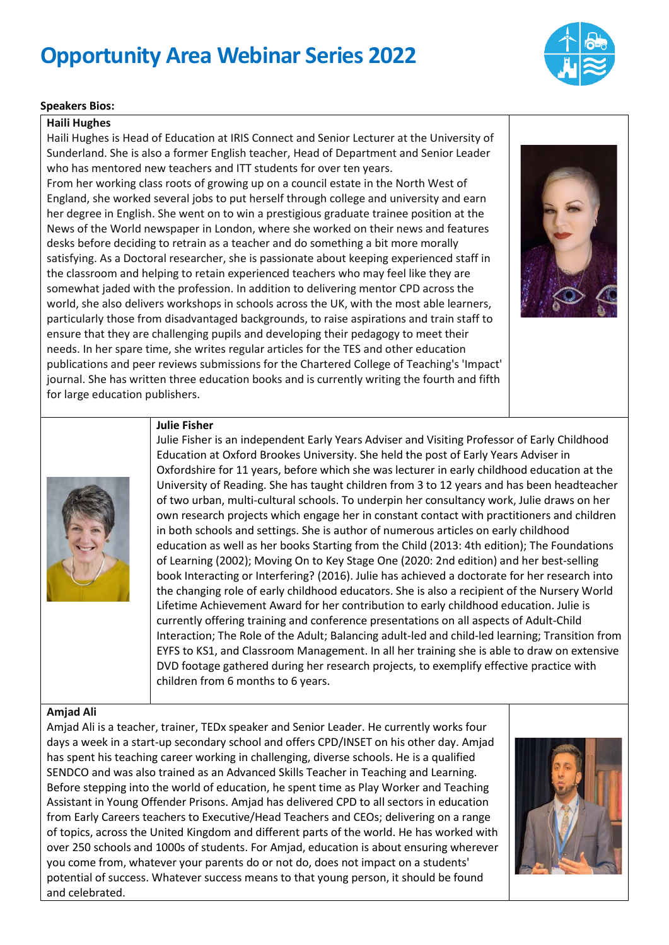

#### **Speakers Bios:**

#### **Haili Hughes**

Haili Hughes is Head of Education at IRIS Connect and Senior Lecturer at the University of Sunderland. She is also a former English teacher, Head of Department and Senior Leader who has mentored new teachers and ITT students for over ten years.

From her working class roots of growing up on a council estate in the North West of England, she worked several jobs to put herself through college and university and earn her degree in English. She went on to win a prestigious graduate trainee position at the News of the World newspaper in London, where she worked on their news and features desks before deciding to retrain as a teacher and do something a bit more morally satisfying. As a Doctoral researcher, she is passionate about keeping experienced staff in the classroom and helping to retain experienced teachers who may feel like they are somewhat jaded with the profession. In addition to delivering mentor CPD across the world, she also delivers workshops in schools across the UK, with the most able learners, particularly those from disadvantaged backgrounds, to raise aspirations and train staff to ensure that they are challenging pupils and developing their pedagogy to meet their needs. In her spare time, she writes regular articles for the TES and other education publications and peer reviews submissions for the Chartered College of Teaching's 'Impact' journal. She has written three education books and is currently writing the fourth and fifth for large education publishers.



### **Julie Fisher**

Julie Fisher is an independent Early Years Adviser and Visiting Professor of Early Childhood Education at Oxford Brookes University. She held the post of Early Years Adviser in Oxfordshire for 11 years, before which she was lecturer in early childhood education at the University of Reading. She has taught children from 3 to 12 years and has been headteacher of two urban, multi-cultural schools. To underpin her consultancy work, Julie draws on her own research projects which engage her in constant contact with practitioners and children in both schools and settings. She is author of numerous articles on early childhood education as well as her books Starting from the Child (2013: 4th edition); The Foundations of Learning (2002); Moving On to Key Stage One (2020: 2nd edition) and her best-selling book Interacting or Interfering? (2016). Julie has achieved a doctorate for her research into the changing role of early childhood educators. She is also a recipient of the Nursery World Lifetime Achievement Award for her contribution to early childhood education. Julie is currently offering training and conference presentations on all aspects of Adult-Child Interaction; The Role of the Adult; Balancing adult-led and child-led learning; Transition from EYFS to KS1, and Classroom Management. In all her training she is able to draw on extensive DVD footage gathered during her research projects, to exemplify effective practice with children from 6 months to 6 years.

#### **Amjad Ali**

Amjad Ali is a teacher, trainer, TEDx speaker and Senior Leader. He currently works four days a week in a start-up secondary school and offers CPD/INSET on his other day. Amjad has spent his teaching career working in challenging, diverse schools. He is a qualified SENDCO and was also trained as an Advanced Skills Teacher in Teaching and Learning. Before stepping into the world of education, he spent time as Play Worker and Teaching Assistant in Young Offender Prisons. Amjad has delivered CPD to all sectors in education from Early Careers teachers to Executive/Head Teachers and CEOs; delivering on a range of topics, across the United Kingdom and different parts of the world. He has worked with over 250 schools and 1000s of students. For Amjad, education is about ensuring wherever you come from, whatever your parents do or not do, does not impact on a students' potential of success. Whatever success means to that young person, it should be found and celebrated.